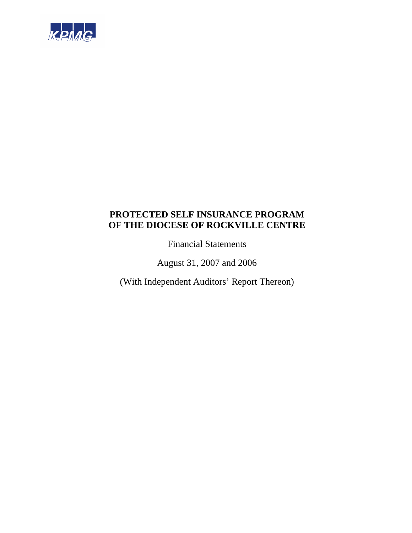

Financial Statements

August 31, 2007 and 2006

(With Independent Auditors' Report Thereon)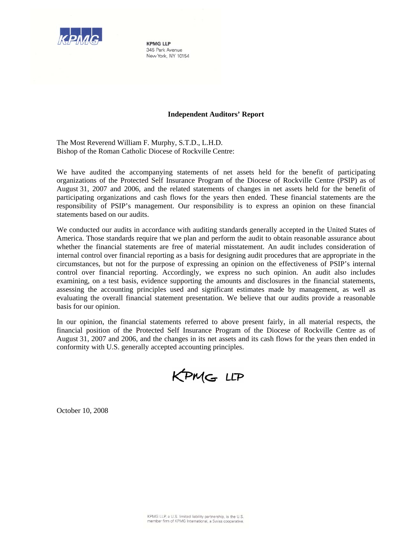

**KPMG LLP** 345 Park Avenue New York, NY 10154

#### **Independent Auditors' Report**

The Most Reverend William F. Murphy, S.T.D., L.H.D. Bishop of the Roman Catholic Diocese of Rockville Centre:

We have audited the accompanying statements of net assets held for the benefit of participating organizations of the Protected Self Insurance Program of the Diocese of Rockville Centre (PSIP) as of August 31, 2007 and 2006, and the related statements of changes in net assets held for the benefit of participating organizations and cash flows for the years then ended. These financial statements are the responsibility of PSIP's management. Our responsibility is to express an opinion on these financial statements based on our audits.

We conducted our audits in accordance with auditing standards generally accepted in the United States of America. Those standards require that we plan and perform the audit to obtain reasonable assurance about whether the financial statements are free of material misstatement. An audit includes consideration of internal control over financial reporting as a basis for designing audit procedures that are appropriate in the circumstances, but not for the purpose of expressing an opinion on the effectiveness of PSIP's internal control over financial reporting. Accordingly, we express no such opinion. An audit also includes examining, on a test basis, evidence supporting the amounts and disclosures in the financial statements, assessing the accounting principles used and significant estimates made by management, as well as evaluating the overall financial statement presentation. We believe that our audits provide a reasonable basis for our opinion.

In our opinion, the financial statements referred to above present fairly, in all material respects, the financial position of the Protected Self Insurance Program of the Diocese of Rockville Centre as of August 31, 2007 and 2006, and the changes in its net assets and its cash flows for the years then ended in conformity with U.S. generally accepted accounting principles.

KPMG LLP

October 10, 2008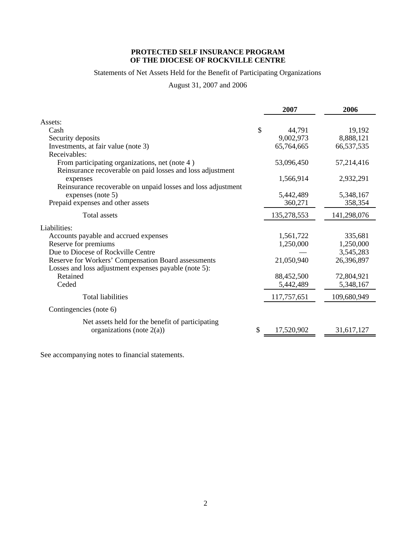# Statements of Net Assets Held for the Benefit of Participating Organizations

# August 31, 2007 and 2006

|                                                              | 2007             | 2006        |
|--------------------------------------------------------------|------------------|-------------|
| Assets:                                                      |                  |             |
| Cash                                                         | \$<br>44,791     | 19,192      |
| Security deposits                                            | 9,002,973        | 8,888,121   |
| Investments, at fair value (note 3)                          | 65,764,665       | 66,537,535  |
| Receivables:                                                 |                  |             |
| From participating organizations, net (note 4)               | 53,096,450       | 57,214,416  |
| Reinsurance recoverable on paid losses and loss adjustment   |                  |             |
| expenses                                                     | 1,566,914        | 2,932,291   |
| Reinsurance recoverable on unpaid losses and loss adjustment |                  |             |
| expenses (note 5)                                            | 5,442,489        | 5,348,167   |
| Prepaid expenses and other assets                            | 360,271          | 358,354     |
| <b>Total</b> assets                                          | 135,278,553      | 141,298,076 |
| Liabilities:                                                 |                  |             |
| Accounts payable and accrued expenses                        | 1,561,722        | 335,681     |
| Reserve for premiums                                         | 1,250,000        | 1,250,000   |
| Due to Diocese of Rockville Centre                           |                  | 3,545,283   |
| Reserve for Workers' Compensation Board assessments          | 21,050,940       | 26,396,897  |
| Losses and loss adjustment expenses payable (note 5):        |                  |             |
| Retained                                                     | 88,452,500       | 72,804,921  |
| Ceded                                                        | 5,442,489        | 5,348,167   |
| <b>Total liabilities</b>                                     | 117,757,651      | 109,680,949 |
| Contingencies (note 6)                                       |                  |             |
| Net assets held for the benefit of participating             |                  |             |
| organizations (note $2(a)$ )                                 | \$<br>17,520,902 | 31,617,127  |
|                                                              |                  |             |

See accompanying notes to financial statements.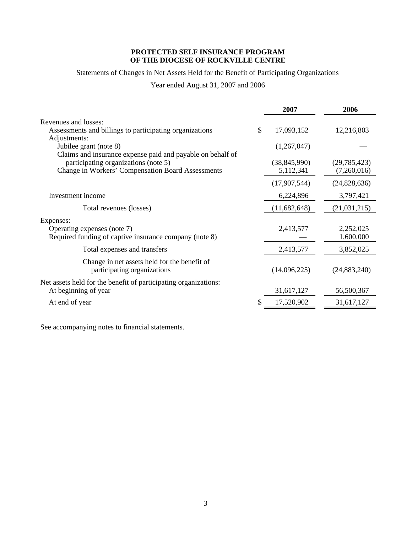Statements of Changes in Net Assets Held for the Benefit of Participating Organizations

Year ended August 31, 2007 and 2006

|                                                                                                    | 2007                        | 2006                          |
|----------------------------------------------------------------------------------------------------|-----------------------------|-------------------------------|
| Revenues and losses:                                                                               |                             |                               |
| Assessments and billings to participating organizations<br>Adjustments:                            | \$<br>17,093,152            | 12,216,803                    |
| Jubilee grant (note 8)<br>Claims and insurance expense paid and payable on behalf of               | (1,267,047)                 |                               |
| participating organizations (note 5)<br><b>Change in Workers' Compensation Board Assessments</b>   | (38, 845, 990)<br>5,112,341 | (29, 785, 423)<br>(7,260,016) |
|                                                                                                    | (17,907,544)                | (24,828,636)                  |
| Investment income                                                                                  | 6,224,896                   | 3,797,421                     |
| Total revenues (losses)                                                                            | (11,682,648)                | (21, 031, 215)                |
| Expenses:<br>Operating expenses (note 7)<br>Required funding of captive insurance company (note 8) | 2,413,577                   | 2,252,025<br>1,600,000        |
| Total expenses and transfers                                                                       | 2,413,577                   | 3,852,025                     |
| Change in net assets held for the benefit of<br>participating organizations                        | (14,096,225)                | (24, 883, 240)                |
| Net assets held for the benefit of participating organizations:<br>At beginning of year            | 31,617,127                  | 56,500,367                    |
| At end of year                                                                                     | \$<br>17,520,902            | 31,617,127                    |
|                                                                                                    |                             |                               |

See accompanying notes to financial statements.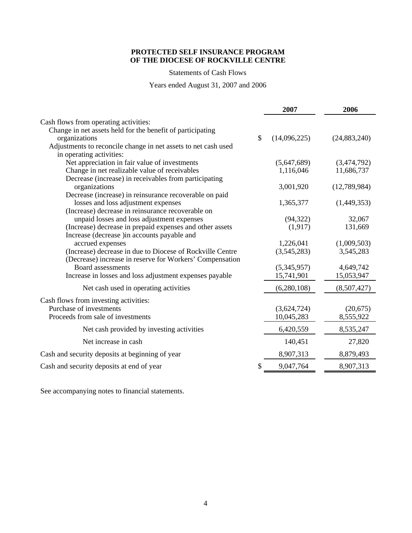Statements of Cash Flows

Years ended August 31, 2007 and 2006

|                                                                |               | 2007         | 2006           |
|----------------------------------------------------------------|---------------|--------------|----------------|
| Cash flows from operating activities:                          |               |              |                |
| Change in net assets held for the benefit of participating     |               |              |                |
| organizations                                                  | $\mathcal{S}$ | (14,096,225) | (24, 883, 240) |
| Adjustments to reconcile change in net assets to net cash used |               |              |                |
| in operating activities:                                       |               |              |                |
| Net appreciation in fair value of investments                  |               | (5,647,689)  | (3,474,792)    |
| Change in net realizable value of receivables                  |               | 1,116,046    | 11,686,737     |
| Decrease (increase) in receivables from participating          |               |              |                |
| organizations                                                  |               | 3,001,920    | (12,789,984)   |
| Decrease (increase) in reinsurance recoverable on paid         |               |              |                |
| losses and loss adjustment expenses                            |               | 1,365,377    | (1,449,353)    |
| (Increase) decrease in reinsurance recoverable on              |               |              |                |
| unpaid losses and loss adjustment expenses                     |               | (94, 322)    | 32,067         |
| (Increase) decrease in prepaid expenses and other assets       |               | (1, 917)     | 131,669        |
| Increase (decrease ) in accounts payable and                   |               |              |                |
| accrued expenses                                               |               | 1,226,041    | (1,009,503)    |
| (Increase) decrease in due to Diocese of Rockville Centre      |               | (3,545,283)  | 3,545,283      |
| (Decrease) increase in reserve for Workers' Compensation       |               |              |                |
| Board assessments                                              |               | (5,345,957)  | 4,649,742      |
| Increase in losses and loss adjustment expenses payable        |               | 15,741,901   | 15,053,947     |
| Net cash used in operating activities                          |               | (6,280,108)  | (8,507,427)    |
| Cash flows from investing activities:                          |               |              |                |
| Purchase of investments                                        |               | (3,624,724)  | (20,675)       |
| Proceeds from sale of investments                              |               | 10,045,283   | 8,555,922      |
|                                                                |               |              |                |
| Net cash provided by investing activities                      |               | 6,420,559    | 8,535,247      |
| Net increase in cash                                           |               | 140,451      | 27,820         |
| Cash and security deposits at beginning of year                |               | 8,907,313    | 8,879,493      |
| Cash and security deposits at end of year                      | \$            | 9,047,764    | 8,907,313      |

See accompanying notes to financial statements.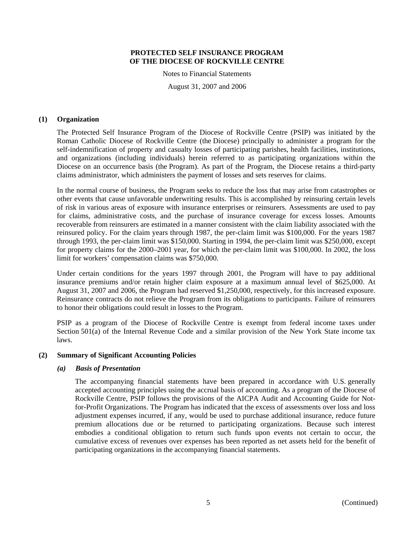Notes to Financial Statements

August 31, 2007 and 2006

#### **(1) Organization**

The Protected Self Insurance Program of the Diocese of Rockville Centre (PSIP) was initiated by the Roman Catholic Diocese of Rockville Centre (the Diocese) principally to administer a program for the self-indemnification of property and casualty losses of participating parishes, health facilities, institutions, and organizations (including individuals) herein referred to as participating organizations within the Diocese on an occurrence basis (the Program). As part of the Program, the Diocese retains a third-party claims administrator, which administers the payment of losses and sets reserves for claims.

In the normal course of business, the Program seeks to reduce the loss that may arise from catastrophes or other events that cause unfavorable underwriting results. This is accomplished by reinsuring certain levels of risk in various areas of exposure with insurance enterprises or reinsurers. Assessments are used to pay for claims, administrative costs, and the purchase of insurance coverage for excess losses. Amounts recoverable from reinsurers are estimated in a manner consistent with the claim liability associated with the reinsured policy. For the claim years through 1987, the per-claim limit was \$100,000. For the years 1987 through 1993, the per-claim limit was \$150,000. Starting in 1994, the per-claim limit was \$250,000, except for property claims for the 2000–2001 year, for which the per-claim limit was \$100,000. In 2002, the loss limit for workers' compensation claims was \$750,000.

Under certain conditions for the years 1997 through 2001, the Program will have to pay additional insurance premiums and/or retain higher claim exposure at a maximum annual level of \$625,000. At August 31, 2007 and 2006, the Program had reserved \$1,250,000, respectively, for this increased exposure. Reinsurance contracts do not relieve the Program from its obligations to participants. Failure of reinsurers to honor their obligations could result in losses to the Program.

PSIP as a program of the Diocese of Rockville Centre is exempt from federal income taxes under Section 501(a) of the Internal Revenue Code and a similar provision of the New York State income tax laws.

# **(2) Summary of Significant Accounting Policies**

#### *(a) Basis of Presentation*

The accompanying financial statements have been prepared in accordance with U.S. generally accepted accounting principles using the accrual basis of accounting. As a program of the Diocese of Rockville Centre, PSIP follows the provisions of the AICPA Audit and Accounting Guide for Notfor-Profit Organizations. The Program has indicated that the excess of assessments over loss and loss adjustment expenses incurred, if any, would be used to purchase additional insurance, reduce future premium allocations due or be returned to participating organizations. Because such interest embodies a conditional obligation to return such funds upon events not certain to occur, the cumulative excess of revenues over expenses has been reported as net assets held for the benefit of participating organizations in the accompanying financial statements.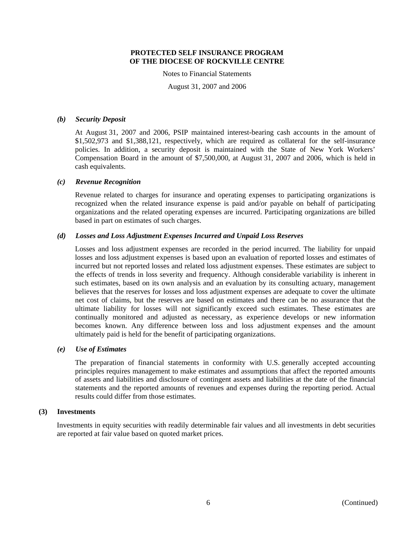Notes to Financial Statements

August 31, 2007 and 2006

#### *(b) Security Deposit*

At August 31, 2007 and 2006, PSIP maintained interest-bearing cash accounts in the amount of \$1,502,973 and \$1,388,121, respectively, which are required as collateral for the self-insurance policies. In addition, a security deposit is maintained with the State of New York Workers' Compensation Board in the amount of \$7,500,000, at August 31, 2007 and 2006, which is held in cash equivalents.

# *(c) Revenue Recognition*

Revenue related to charges for insurance and operating expenses to participating organizations is recognized when the related insurance expense is paid and/or payable on behalf of participating organizations and the related operating expenses are incurred. Participating organizations are billed based in part on estimates of such charges.

# *(d) Losses and Loss Adjustment Expenses Incurred and Unpaid Loss Reserves*

Losses and loss adjustment expenses are recorded in the period incurred. The liability for unpaid losses and loss adjustment expenses is based upon an evaluation of reported losses and estimates of incurred but not reported losses and related loss adjustment expenses. These estimates are subject to the effects of trends in loss severity and frequency. Although considerable variability is inherent in such estimates, based on its own analysis and an evaluation by its consulting actuary, management believes that the reserves for losses and loss adjustment expenses are adequate to cover the ultimate net cost of claims, but the reserves are based on estimates and there can be no assurance that the ultimate liability for losses will not significantly exceed such estimates. These estimates are continually monitored and adjusted as necessary, as experience develops or new information becomes known. Any difference between loss and loss adjustment expenses and the amount ultimately paid is held for the benefit of participating organizations.

#### *(e) Use of Estimates*

The preparation of financial statements in conformity with U.S. generally accepted accounting principles requires management to make estimates and assumptions that affect the reported amounts of assets and liabilities and disclosure of contingent assets and liabilities at the date of the financial statements and the reported amounts of revenues and expenses during the reporting period. Actual results could differ from those estimates.

#### **(3) Investments**

Investments in equity securities with readily determinable fair values and all investments in debt securities are reported at fair value based on quoted market prices.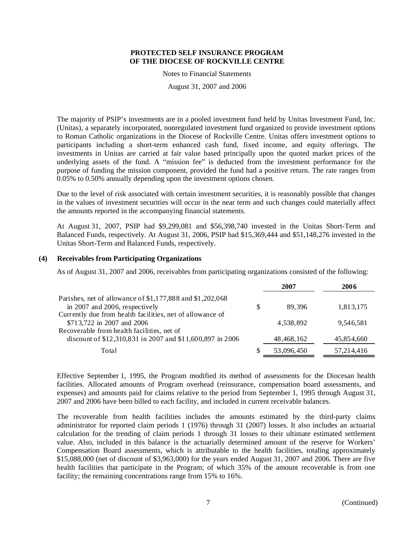Notes to Financial Statements

August 31, 2007 and 2006

The majority of PSIP's investments are in a pooled investment fund held by Unitas Investment Fund, Inc. (Unitas), a separately incorporated, nonregulated investment fund organized to provide investment options to Roman Catholic organizations in the Diocese of Rockville Centre. Unitas offers investment options to participants including a short-term enhanced cash fund, fixed income, and equity offerings. The investments in Unitas are carried at fair value based principally upon the quoted market prices of the underlying assets of the fund. A "mission fee" is deducted from the investment performance for the purpose of funding the mission component, provided the fund had a positive return. The rate ranges from 0.05% to 0.50% annually depending upon the investment options chosen.

Due to the level of risk associated with certain investment securities, it is reasonably possible that changes in the values of investment securities will occur in the near term and such changes could materially affect the amounts reported in the accompanying financial statements.

At August 31, 2007, PSIP had \$9,299,081 and \$56,398,740 invested in the Unitas Short-Term and Balanced Funds, respectively. At August 31, 2006, PSIP had \$15,369,444 and \$51,148,276 invested in the Unitas Short-Term and Balanced Funds, respectively.

# **(4) Receivables from Participating Organizations**

As of August 31, 2007 and 2006, receivables from participating organizations consisted of the following:

|                                                           | 2007         | 2006         |
|-----------------------------------------------------------|--------------|--------------|
| Parishes, net of allowance of \$1,177,888 and \$1,202,068 |              |              |
| in 2007 and 2006, respectively                            | 89.396       | 1,813,175    |
| Currently due from health facilities, net of allowance of |              |              |
| \$713,722 in 2007 and 2006                                | 4,538,892    | 9,546,581    |
| Recoverable from health facilities, net of                |              |              |
| discount of \$12,310,831 in 2007 and \$11,600,897 in 2006 | 48, 468, 162 | 45,854,660   |
| Total                                                     | 53,096,450   | 57, 214, 416 |

Effective September 1, 1995, the Program modified its method of assessments for the Diocesan health facilities. Allocated amounts of Program overhead (reinsurance, compensation board assessments, and expenses) and amounts paid for claims relative to the period from September 1, 1995 through August 31, 2007 and 2006 have been billed to each facility, and included in current receivable balances.

The recoverable from health facilities includes the amounts estimated by the third-party claims administrator for reported claim periods 1 (1976) through 31 (2007) losses. It also includes an actuarial calculation for the trending of claim periods 1 through 31 losses to their ultimate estimated settlement value. Also, included in this balance is the actuarially determined amount of the reserve for Workers' Compensation Board assessments, which is attributable to the health facilities, totaling approximately \$15,088,000 (net of discount of \$3,963,000) for the years ended August 31, 2007 and 2006. There are five health facilities that participate in the Program; of which 35% of the amount recoverable is from one facility; the remaining concentrations range from 15% to 16%.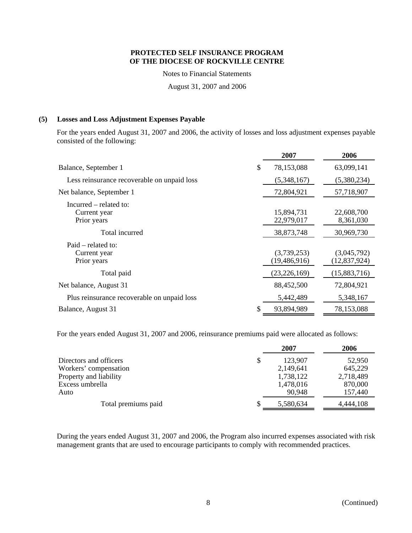Notes to Financial Statements

August 31, 2007 and 2006

# **(5) Losses and Loss Adjustment Expenses Payable**

For the years ended August 31, 2007 and 2006, the activity of losses and loss adjustment expenses payable consisted of the following:

|                                                       | 2007                          | 2006                          |
|-------------------------------------------------------|-------------------------------|-------------------------------|
| Balance, September 1                                  | \$<br>78,153,088              | 63,099,141                    |
| Less reinsurance recoverable on unpaid loss           | (5,348,167)                   | (5,380,234)                   |
| Net balance, September 1                              | 72,804,921                    | 57,718,907                    |
| Incurred – related to:<br>Current year<br>Prior years | 15,894,731<br>22,979,017      | 22,608,700<br>8,361,030       |
| Total incurred                                        | 38,873,748                    | 30,969,730                    |
| $Paid$ – related to:<br>Current year<br>Prior years   | (3,739,253)<br>(19, 486, 916) | (3,045,792)<br>(12, 837, 924) |
| Total paid                                            | (23, 226, 169)                | (15,883,716)                  |
| Net balance, August 31                                | 88,452,500                    | 72,804,921                    |
| Plus reinsurance recoverable on unpaid loss           | 5,442,489                     | 5,348,167                     |
| Balance, August 31                                    | 93,894,989                    | 78,153,088                    |

For the years ended August 31, 2007 and 2006, reinsurance premiums paid were allocated as follows:

|                        | 2007      | 2006      |
|------------------------|-----------|-----------|
| Directors and officers | 123,907   | 52,950    |
| Workers' compensation  | 2,149,641 | 645,229   |
| Property and liability | 1,738,122 | 2,718,489 |
| Excess umbrella        | 1,478,016 | 870,000   |
| Auto                   | 90,948    | 157,440   |
| Total premiums paid    | 5,580,634 | 4,444,108 |

During the years ended August 31, 2007 and 2006, the Program also incurred expenses associated with risk management grants that are used to encourage participants to comply with recommended practices.